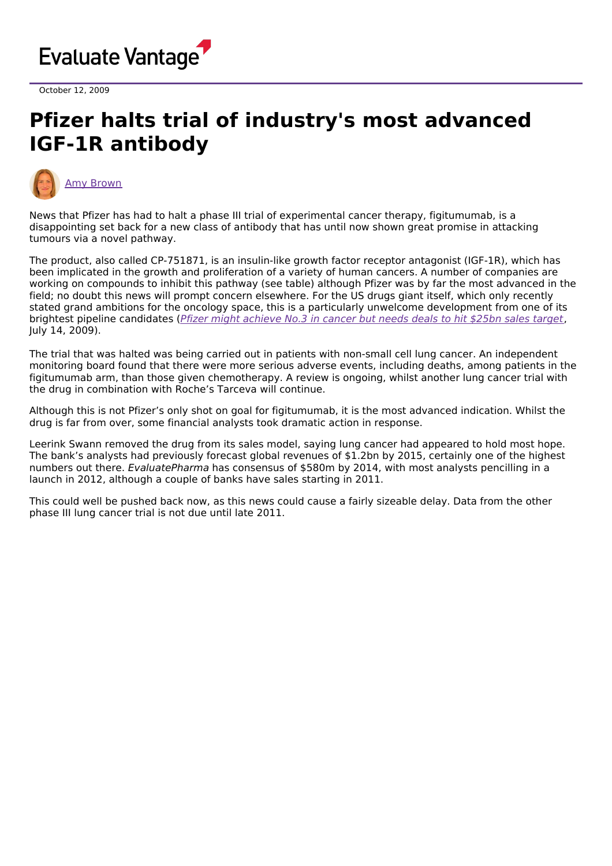

October 12, 2009

## **Pfizer halts trial of industry's most advanced IGF-1R antibody**



News that Pfizer has had to halt a phase III trial of experimental cancer therapy, figitumumab, is a disappointing set back for a new class of antibody that has until now shown great promise in attacking tumours via a novel pathway.

The product, also called CP-751871, is an insulin-like growth factor receptor antagonist (IGF-1R), which has been implicated in the growth and proliferation of a variety of human cancers. A number of companies are working on compounds to inhibit this pathway (see table) although Pfizer was by far the most advanced in the field; no doubt this news will prompt concern elsewhere. For the US drugs giant itself, which only recently stated grand ambitions for the oncology space, this is a particularly unwelcome development from one of its brightest pipeline candidates (Pfizer might [achieve](http://www.epvantage.com/Universal/View.aspx?type=Story&id=190277&isEPVantage=yes) No.3 in cancer but needs deals to hit \$25bn sales target, July 14, 2009).

The trial that was halted was being carried out in patients with non-small cell lung cancer. An independent monitoring board found that there were more serious adverse events, including deaths, among patients in the figitumumab arm, than those given chemotherapy. A review is ongoing, whilst another lung cancer trial with the drug in combination with Roche's Tarceva will continue.

Although this is not Pfizer's only shot on goal for figitumumab, it is the most advanced indication. Whilst the drug is far from over, some financial analysts took dramatic action in response.

Leerink Swann removed the drug from its sales model, saying lung cancer had appeared to hold most hope. The bank's analysts had previously forecast global revenues of \$1.2bn by 2015, certainly one of the highest numbers out there. EvaluatePharma has consensus of \$580m by 2014, with most analysts pencilling in a launch in 2012, although a couple of banks have sales starting in 2011.

This could well be pushed back now, as this news could cause a fairly sizeable delay. Data from the other phase III lung cancer trial is not due until late 2011.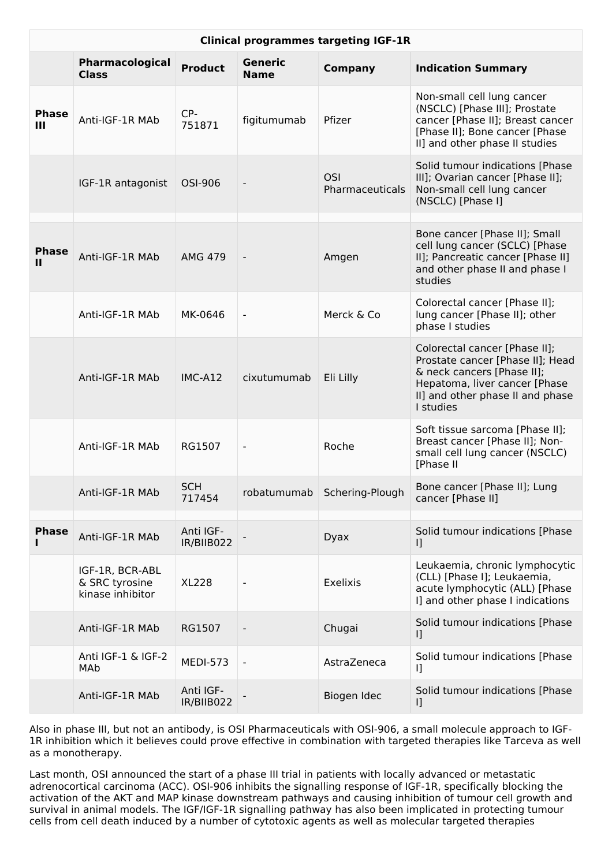| <b>Clinical programmes targeting IGF-1R</b> |                                                       |                         |                          |                               |                                                                                                                                                                                   |
|---------------------------------------------|-------------------------------------------------------|-------------------------|--------------------------|-------------------------------|-----------------------------------------------------------------------------------------------------------------------------------------------------------------------------------|
|                                             | Pharmacological<br><b>Class</b>                       | <b>Product</b>          | <b>Generic</b><br>Name   | <b>Company</b>                | <b>Indication Summary</b>                                                                                                                                                         |
| <b>Phase</b><br>Ш                           | Anti-IGF-1R MAb                                       | CP-<br>751871           | figitumumab              | Pfizer                        | Non-small cell lung cancer<br>(NSCLC) [Phase III]; Prostate<br>cancer [Phase II]; Breast cancer<br>[Phase II]; Bone cancer [Phase<br>II] and other phase II studies               |
|                                             | IGF-1R antagonist                                     | OSI-906                 |                          | <b>OSI</b><br>Pharmaceuticals | Solid tumour indications [Phase<br>III]; Ovarian cancer [Phase II];<br>Non-small cell lung cancer<br>(NSCLC) [Phase I]                                                            |
| <b>Phase</b><br>п                           | Anti-IGF-1R MAb                                       | <b>AMG 479</b>          | $\overline{\phantom{a}}$ | Amgen                         | Bone cancer [Phase II]; Small<br>cell lung cancer (SCLC) [Phase<br>II]; Pancreatic cancer [Phase II]<br>and other phase II and phase I<br>studies                                 |
|                                             | Anti-IGF-1R MAb                                       | MK-0646                 |                          | Merck & Co                    | Colorectal cancer [Phase II];<br>lung cancer [Phase II]; other<br>phase I studies                                                                                                 |
|                                             | Anti-IGF-1R MAb                                       | IMC-A12                 | cixutumumab              | Eli Lilly                     | Colorectal cancer [Phase II];<br>Prostate cancer [Phase II]; Head<br>& neck cancers [Phase II];<br>Hepatoma, liver cancer [Phase<br>II] and other phase II and phase<br>I studies |
|                                             | Anti-IGF-1R MAb                                       | RG1507                  | $\frac{1}{2}$            | Roche                         | Soft tissue sarcoma [Phase II];<br>Breast cancer [Phase II]; Non-<br>small cell lung cancer (NSCLC)<br>[Phase II                                                                  |
|                                             | Anti-IGF-1R MAb                                       | <b>SCH</b><br>717454    | robatumumab              | Schering-Plough               | Bone cancer [Phase II]; Lung<br>cancer [Phase II]                                                                                                                                 |
| <b>Phase</b>                                | Anti-IGF-1R MAb                                       | Anti IGF-<br>IR/BIIB022 |                          | Dyax                          | Solid tumour indications [Phase<br>IJ                                                                                                                                             |
|                                             | IGF-1R, BCR-ABL<br>& SRC tyrosine<br>kinase inhibitor | <b>XL228</b>            |                          | Exelixis                      | Leukaemia, chronic lymphocytic<br>(CLL) [Phase I]; Leukaemia,<br>acute lymphocytic (ALL) [Phase<br>I] and other phase I indications                                               |
|                                             | Anti-IGF-1R MAb                                       | RG1507                  |                          | Chugai                        | Solid tumour indications [Phase<br>IJ                                                                                                                                             |
|                                             | Anti IGF-1 & IGF-2<br>MAb                             | <b>MEDI-573</b>         | $\blacksquare$           | AstraZeneca                   | Solid tumour indications [Phase<br>IJ                                                                                                                                             |
|                                             | Anti-IGF-1R MAb                                       | Anti IGF-<br>IR/BIIB022 |                          | Biogen Idec                   | Solid tumour indications [Phase<br>IJ                                                                                                                                             |

Also in phase III, but not an antibody, is OSI Pharmaceuticals with OSI-906, a small molecule approach to IGF-1R inhibition which it believes could prove effective in combination with targeted therapies like Tarceva as well as a monotherapy.

Last month, OSI announced the start of a phase III trial in patients with locally advanced or metastatic adrenocortical carcinoma (ACC). OSI-906 inhibits the signalling response of IGF-1R, specifically blocking the activation of the AKT and MAP kinase downstream pathways and causing inhibition of tumour cell growth and survival in animal models. The IGF/IGF-1R signalling pathway has also been implicated in protecting tumour cells from cell death induced by a number of cytotoxic agents as well as molecular targeted therapies